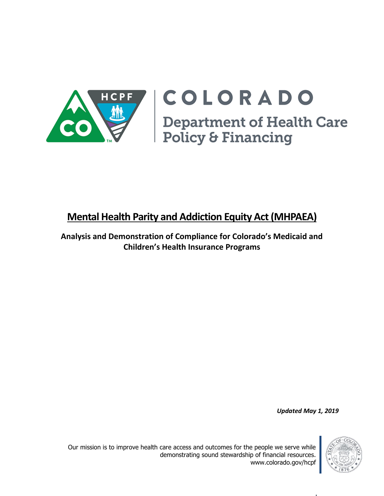

# COLORADO Department of Health Care<br>Policy & Financing

# **Mental Health Parity and Addiction Equity Act(MHPAEA)**

**Analysis and Demonstration of Compliance for Colorado's Medicaid and Children's Health Insurance Programs**

*Updated May 1, 2019*

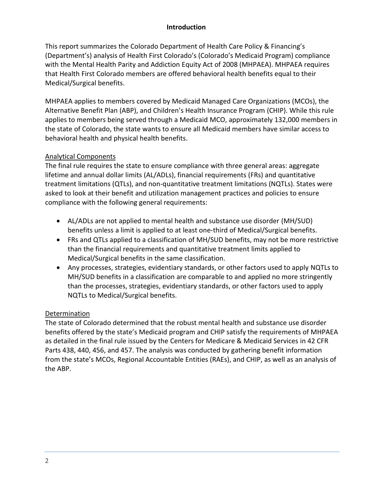### **Introduction**

This report summarizes the Colorado Department of Health Care Policy & Financing's (Department's) analysis of Health First Colorado's (Colorado's Medicaid Program) compliance with the Mental Health Parity and Addiction Equity Act of 2008 (MHPAEA). MHPAEA requires that Health First Colorado members are offered behavioral health benefits equal to their Medical/Surgical benefits.

MHPAEA applies to members covered by Medicaid Managed Care Organizations (MCOs), the Alternative Benefit Plan (ABP), and Children's Health Insurance Program (CHIP). While this rule applies to members being served through a Medicaid MCO, approximately 132,000 members in the state of Colorado, the state wants to ensure all Medicaid members have similar access to behavioral health and physical health benefits.

# Analytical Components

The final rule requires the state to ensure compliance with three general areas: aggregate lifetime and annual dollar limits (AL/ADLs), financial requirements (FRs) and quantitative treatment limitations (QTLs), and non-quantitative treatment limitations (NQTLs). States were asked to look at their benefit and utilization management practices and policies to ensure compliance with the following general requirements:

- AL/ADLs are not applied to mental health and substance use disorder (MH/SUD) benefits unless a limit is applied to at least one-third of Medical/Surgical benefits.
- FRs and QTLs applied to a classification of MH/SUD benefits, may not be more restrictive than the financial requirements and quantitative treatment limits applied to Medical/Surgical benefits in the same classification.
- Any processes, strategies, evidentiary standards, or other factors used to apply NQTLs to MH/SUD benefits in a classification are comparable to and applied no more stringently than the processes, strategies, evidentiary standards, or other factors used to apply NQTLs to Medical/Surgical benefits.

# Determination

The state of Colorado determined that the robust mental health and substance use disorder benefits offered by the state's Medicaid program and CHIP satisfy the requirements of MHPAEA as detailed in the final rule issued by the Centers for Medicare & Medicaid Services in 42 CFR Parts 438, 440, 456, and 457. The analysis was conducted by gathering benefit information from the state's MCOs, Regional Accountable Entities (RAEs), and CHIP, as well as an analysis of the ABP.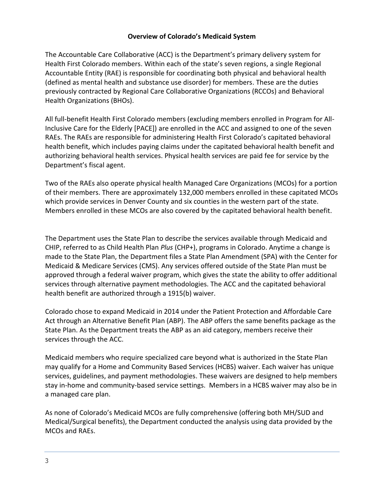#### **Overview of Colorado's Medicaid System**

The Accountable Care Collaborative (ACC) is the Department's primary delivery system for Health First Colorado members. Within each of the state's seven regions, a single Regional Accountable Entity (RAE) is responsible for coordinating both physical and behavioral health (defined as mental health and substance use disorder) for members. These are the duties previously contracted by Regional Care Collaborative Organizations (RCCOs) and Behavioral Health Organizations (BHOs).

All full-benefit Health First Colorado members (excluding members enrolled in Program for All-Inclusive Care for the Elderly [PACE]) are enrolled in the ACC and assigned to one of the seven RAEs. The RAEs are responsible for administering Health First Colorado's capitated behavioral health benefit, which includes paying claims under the capitated behavioral health benefit and authorizing behavioral health services. Physical health services are paid fee for service by the Department's fiscal agent.

Two of the RAEs also operate physical health Managed Care Organizations (MCOs) for a portion of their members. There are approximately 132,000 members enrolled in these capitated MCOs which provide services in Denver County and six counties in the western part of the state. Members enrolled in these MCOs are also covered by the capitated behavioral health benefit.

The Department uses the State Plan to describe the services available through Medicaid and CHIP, referred to as Child Health Plan *Plus* (CHP+), programs in Colorado. Anytime a change is made to the State Plan, the Department files a State Plan Amendment (SPA) with the Center for Medicaid & Medicare Services (CMS). Any services offered outside of the State Plan must be approved through a federal waiver program, which gives the state the ability to offer additional services through alternative payment methodologies. The ACC and the capitated behavioral health benefit are authorized through a 1915(b) waiver.

Colorado chose to expand Medicaid in 2014 under the Patient Protection and Affordable Care Act through an Alternative Benefit Plan (ABP). The ABP offers the same benefits package as the State Plan. As the Department treats the ABP as an aid category, members receive their services through the ACC.

Medicaid members who require specialized care beyond what is authorized in the State Plan may qualify for a Home and Community Based Services (HCBS) waiver. Each waiver has unique services, guidelines, and payment methodologies. These waivers are designed to help members stay in-home and community-based service settings. Members in a HCBS waiver may also be in a managed care plan.

As none of Colorado's Medicaid MCOs are fully comprehensive (offering both MH/SUD and Medical/Surgical benefits), the Department conducted the analysis using data provided by the MCOs and RAEs.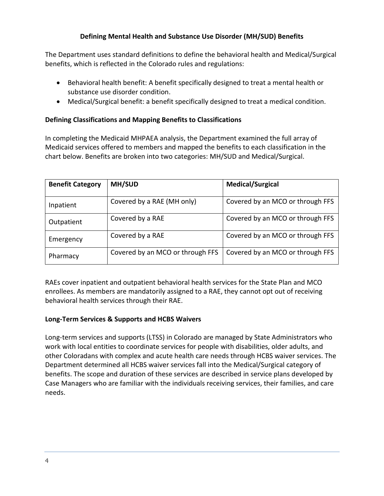# **Defining Mental Health and Substance Use Disorder (MH/SUD) Benefits**

The Department uses standard definitions to define the behavioral health and Medical/Surgical benefits, which is reflected in the Colorado rules and regulations:

- Behavioral health benefit: A benefit specifically designed to treat a mental health or substance use disorder condition.
- Medical/Surgical benefit: a benefit specifically designed to treat a medical condition.

### **Defining Classifications and Mapping Benefits to Classifications**

In completing the Medicaid MHPAEA analysis, the Department examined the full array of Medicaid services offered to members and mapped the benefits to each classification in the chart below. Benefits are broken into two categories: MH/SUD and Medical/Surgical.

| <b>Benefit Category</b> | <b>MH/SUD</b>                    | <b>Medical/Surgical</b>          |
|-------------------------|----------------------------------|----------------------------------|
| Inpatient               | Covered by a RAE (MH only)       | Covered by an MCO or through FFS |
| Outpatient              | Covered by a RAE                 | Covered by an MCO or through FFS |
| Emergency               | Covered by a RAE                 | Covered by an MCO or through FFS |
| Pharmacy                | Covered by an MCO or through FFS | Covered by an MCO or through FFS |

RAEs cover inpatient and outpatient behavioral health services for the State Plan and MCO enrollees. As members are mandatorily assigned to a RAE, they cannot opt out of receiving behavioral health services through their RAE.

#### **Long-Term Services & Supports and HCBS Waivers**

Long-term services and supports (LTSS) in Colorado are managed by State Administrators who work with local entities to coordinate services for people with disabilities, older adults, and other Coloradans with complex and acute health care needs through HCBS waiver services. The Department determined all HCBS waiver services fall into the Medical/Surgical category of benefits. The scope and duration of these services are described in service plans developed by Case Managers who are familiar with the individuals receiving services, their families, and care needs.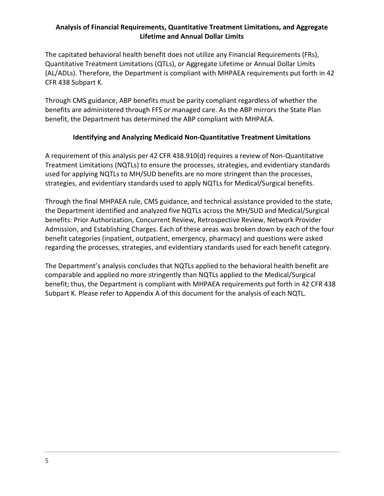# **Analysis of Financial Requirements, Quantitative Treatment Limitations, and Aggregate Lifetime and Annual Dollar Limits**

The capitated behavioral health benefit does not utilize any Financial Requirements (FRs), Quantitative Treatment Limitations (QTLs), or Aggregate Lifetime or Annual Dollar Limits (AL/ADLs). Therefore, the Department is compliant with MHPAEA requirements put forth in 42 CFR 438 Subpart K.

Through CMS guidance, ABP benefits must be parity compliant regardless of whether the benefits are administered through FFS or managed care. As the ABP mirrors the State Plan benefit, the Department has determined the ABP compliant with MHPAEA.

# **Identifying and Analyzing Medicaid Non-Quantitative Treatment Limitations**

A requirement of this analysis per 42 CFR 438.910(d) requires a review of Non-Quantitative Treatment Limitations (NQTLs) to ensure the processes, strategies, and evidentiary standards used for applying NQTLs to MH/SUD benefits are no more stringent than the processes, strategies, and evidentiary standards used to apply NQTLs for Medical/Surgical benefits.

Through the final MHPAEA rule, CMS guidance, and technical assistance provided to the state, the Department identified and analyzed five NQTLs across the MH/SUD and Medical/Surgical benefits: Prior Authorization, Concurrent Review, Retrospective Review, Network Provider Admission, and Establishing Charges. Each of these areas was broken down by each of the four benefit categories (inpatient, outpatient, emergency, pharmacy) and questions were asked regarding the processes, strategies, and evidentiary standards used for each benefit category.

The Department's analysis concludes that NQTLs applied to the behavioral health benefit are comparable and applied no more stringently than NQTLs applied to the Medical/Surgical benefit; thus, the Department is compliant with MHPAEA requirements put forth in 42 CFR 438 Subpart K. Please refer to Appendix A of this document for the analysis of each NQTL.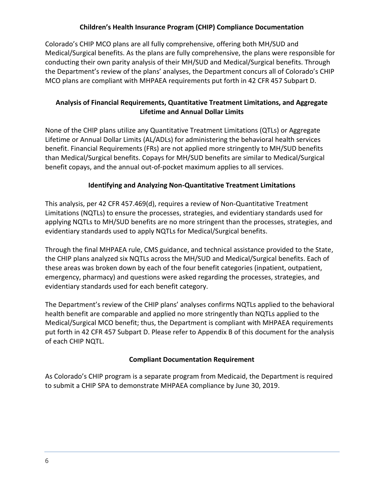# **Children's Health Insurance Program (CHIP) Compliance Documentation**

Colorado's CHIP MCO plans are all fully comprehensive, offering both MH/SUD and Medical/Surgical benefits. As the plans are fully comprehensive, the plans were responsible for conducting their own parity analysis of their MH/SUD and Medical/Surgical benefits. Through the Department's review of the plans' analyses, the Department concurs all of Colorado's CHIP MCO plans are compliant with MHPAEA requirements put forth in 42 CFR 457 Subpart D.

# **Analysis of Financial Requirements, Quantitative Treatment Limitations, and Aggregate Lifetime and Annual Dollar Limits**

None of the CHIP plans utilize any Quantitative Treatment Limitations (QTLs) or Aggregate Lifetime or Annual Dollar Limits (AL/ADLs) for administering the behavioral health services benefit. Financial Requirements (FRs) are not applied more stringently to MH/SUD benefits than Medical/Surgical benefits. Copays for MH/SUD benefits are similar to Medical/Surgical benefit copays, and the annual out-of-pocket maximum applies to all services.

# **Identifying and Analyzing Non-Quantitative Treatment Limitations**

This analysis, per 42 CFR 457.469(d), requires a review of Non-Quantitative Treatment Limitations (NQTLs) to ensure the processes, strategies, and evidentiary standards used for applying NQTLs to MH/SUD benefits are no more stringent than the processes, strategies, and evidentiary standards used to apply NQTLs for Medical/Surgical benefits.

Through the final MHPAEA rule, CMS guidance, and technical assistance provided to the State, the CHIP plans analyzed six NQTLs across the MH/SUD and Medical/Surgical benefits. Each of these areas was broken down by each of the four benefit categories (inpatient, outpatient, emergency, pharmacy) and questions were asked regarding the processes, strategies, and evidentiary standards used for each benefit category.

The Department's review of the CHIP plans' analyses confirms NQTLs applied to the behavioral health benefit are comparable and applied no more stringently than NQTLs applied to the Medical/Surgical MCO benefit; thus, the Department is compliant with MHPAEA requirements put forth in 42 CFR 457 Subpart D. Please refer to Appendix B of this document for the analysis of each CHIP NQTL.

# **Compliant Documentation Requirement**

As Colorado's CHIP program is a separate program from Medicaid, the Department is required to submit a CHIP SPA to demonstrate MHPAEA compliance by June 30, 2019.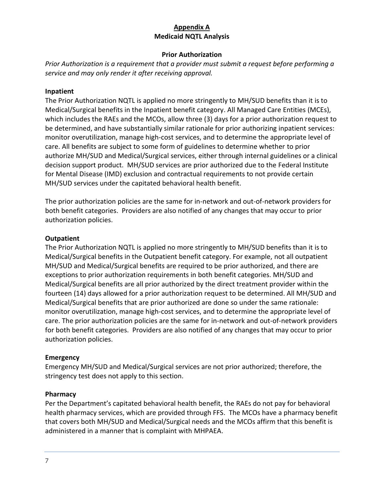# **Appendix A Medicaid NQTL Analysis**

#### **Prior Authorization**

*Prior Authorization is a requirement that a provider must submit a request before performing a service and may only render it after receiving approval.*

#### **Inpatient**

The Prior Authorization NQTL is applied no more stringently to MH/SUD benefits than it is to Medical/Surgical benefits in the Inpatient benefit category. All Managed Care Entities (MCEs), which includes the RAEs and the MCOs, allow three (3) days for a prior authorization request to be determined, and have substantially similar rationale for prior authorizing inpatient services: monitor overutilization, manage high-cost services, and to determine the appropriate level of care. All benefits are subject to some form of guidelines to determine whether to prior authorize MH/SUD and Medical/Surgical services, either through internal guidelines or a clinical decision support product. MH/SUD services are prior authorized due to the Federal Institute for Mental Disease (IMD) exclusion and contractual requirements to not provide certain MH/SUD services under the capitated behavioral health benefit.

The prior authorization policies are the same for in-network and out-of-network providers for both benefit categories. Providers are also notified of any changes that may occur to prior authorization policies.

#### **Outpatient**

The Prior Authorization NQTL is applied no more stringently to MH/SUD benefits than it is to Medical/Surgical benefits in the Outpatient benefit category. For example, not all outpatient MH/SUD and Medical/Surgical benefits are required to be prior authorized, and there are exceptions to prior authorization requirements in both benefit categories. MH/SUD and Medical/Surgical benefits are all prior authorized by the direct treatment provider within the fourteen (14) days allowed for a prior authorization request to be determined. All MH/SUD and Medical/Surgical benefits that are prior authorized are done so under the same rationale: monitor overutilization, manage high-cost services, and to determine the appropriate level of care. The prior authorization policies are the same for in-network and out-of-network providers for both benefit categories. Providers are also notified of any changes that may occur to prior authorization policies.

#### **Emergency**

Emergency MH/SUD and Medical/Surgical services are not prior authorized; therefore, the stringency test does not apply to this section.

#### **Pharmacy**

Per the Department's capitated behavioral health benefit, the RAEs do not pay for behavioral health pharmacy services, which are provided through FFS. The MCOs have a pharmacy benefit that covers both MH/SUD and Medical/Surgical needs and the MCOs affirm that this benefit is administered in a manner that is complaint with MHPAEA.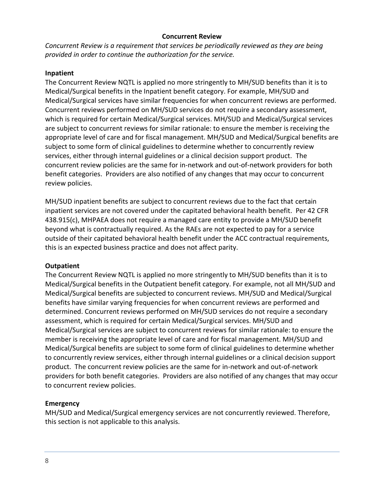#### **Concurrent Review**

*Concurrent Review is a requirement that services be periodically reviewed as they are being provided in order to continue the authorization for the service.*

#### **Inpatient**

The Concurrent Review NQTL is applied no more stringently to MH/SUD benefits than it is to Medical/Surgical benefits in the Inpatient benefit category. For example, MH/SUD and Medical/Surgical services have similar frequencies for when concurrent reviews are performed. Concurrent reviews performed on MH/SUD services do not require a secondary assessment, which is required for certain Medical/Surgical services. MH/SUD and Medical/Surgical services are subject to concurrent reviews for similar rationale: to ensure the member is receiving the appropriate level of care and for fiscal management. MH/SUD and Medical/Surgical benefits are subject to some form of clinical guidelines to determine whether to concurrently review services, either through internal guidelines or a clinical decision support product. The concurrent review policies are the same for in-network and out-of-network providers for both benefit categories. Providers are also notified of any changes that may occur to concurrent review policies.

MH/SUD inpatient benefits are subject to concurrent reviews due to the fact that certain inpatient services are not covered under the capitated behavioral health benefit. Per 42 CFR 438.915(c), MHPAEA does not require a managed care entity to provide a MH/SUD benefit beyond what is contractually required. As the RAEs are not expected to pay for a service outside of their capitated behavioral health benefit under the ACC contractual requirements, this is an expected business practice and does not affect parity.

#### **Outpatient**

The Concurrent Review NQTL is applied no more stringently to MH/SUD benefits than it is to Medical/Surgical benefits in the Outpatient benefit category. For example, not all MH/SUD and Medical/Surgical benefits are subjected to concurrent reviews. MH/SUD and Medical/Surgical benefits have similar varying frequencies for when concurrent reviews are performed and determined. Concurrent reviews performed on MH/SUD services do not require a secondary assessment, which is required for certain Medical/Surgical services. MH/SUD and Medical/Surgical services are subject to concurrent reviews for similar rationale: to ensure the member is receiving the appropriate level of care and for fiscal management. MH/SUD and Medical/Surgical benefits are subject to some form of clinical guidelines to determine whether to concurrently review services, either through internal guidelines or a clinical decision support product. The concurrent review policies are the same for in-network and out-of-network providers for both benefit categories. Providers are also notified of any changes that may occur to concurrent review policies.

# **Emergency**

MH/SUD and Medical/Surgical emergency services are not concurrently reviewed. Therefore, this section is not applicable to this analysis.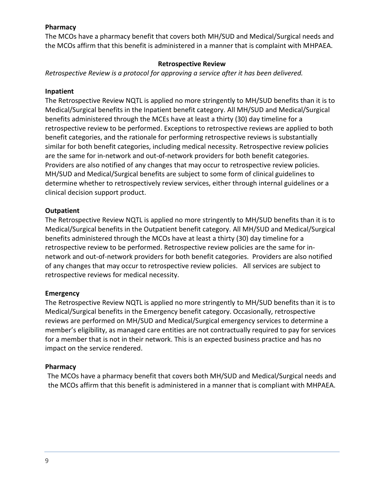#### **Pharmacy**

The MCOs have a pharmacy benefit that covers both MH/SUD and Medical/Surgical needs and the MCOs affirm that this benefit is administered in a manner that is complaint with MHPAEA.

#### **Retrospective Review**

*Retrospective Review is a protocol for approving a service after it has been delivered.*

#### **Inpatient**

The Retrospective Review NQTL is applied no more stringently to MH/SUD benefits than it is to Medical/Surgical benefits in the Inpatient benefit category. All MH/SUD and Medical/Surgical benefits administered through the MCEs have at least a thirty (30) day timeline for a retrospective review to be performed. Exceptions to retrospective reviews are applied to both benefit categories, and the rationale for performing retrospective reviews is substantially similar for both benefit categories, including medical necessity. Retrospective review policies are the same for in-network and out-of-network providers for both benefit categories. Providers are also notified of any changes that may occur to retrospective review policies. MH/SUD and Medical/Surgical benefits are subject to some form of clinical guidelines to determine whether to retrospectively review services, either through internal guidelines or a clinical decision support product.

#### **Outpatient**

The Retrospective Review NQTL is applied no more stringently to MH/SUD benefits than it is to Medical/Surgical benefits in the Outpatient benefit category. All MH/SUD and Medical/Surgical benefits administered through the MCOs have at least a thirty (30) day timeline for a retrospective review to be performed. Retrospective review policies are the same for innetwork and out-of-network providers for both benefit categories. Providers are also notified of any changes that may occur to retrospective review policies. All services are subject to retrospective reviews for medical necessity.

#### **Emergency**

The Retrospective Review NQTL is applied no more stringently to MH/SUD benefits than it is to Medical/Surgical benefits in the Emergency benefit category. Occasionally, retrospective reviews are performed on MH/SUD and Medical/Surgical emergency services to determine a member's eligibility, as managed care entities are not contractually required to pay for services for a member that is not in their network. This is an expected business practice and has no impact on the service rendered.

#### **Pharmacy**

The MCOs have a pharmacy benefit that covers both MH/SUD and Medical/Surgical needs and the MCOs affirm that this benefit is administered in a manner that is compliant with MHPAEA.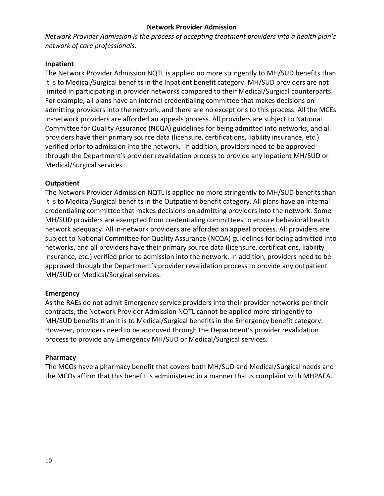#### **Network Provider Admission**

*Network Provider Admission is the process of accepting treatment providers into a health plan's network of care professionals.*

#### **Inpatient**

The Network Provider Admission NQTL is applied no more stringently to MH/SUD benefits than it is to Medical/Surgical benefits in the Inpatient benefit category. MH/SUD providers are not limited in participating in provider networks compared to their Medical/Surgical counterparts. For example, all plans have an internal credentialing committee that makes decisions on admitting providers into the network, and there are no exceptions to this process. All the MCEs in-network providers are afforded an appeals process. All providers are subject to National Committee for Quality Assurance (NCQA) guidelines for being admitted into networks, and all providers have their primary source data (licensure, certifications, liability insurance, etc.) verified prior to admission into the network. In addition, providers need to be approved through the Department's provider revalidation process to provide any inpatient MH/SUD or Medical/Surgical services.

#### **Outpatient**

The Network Provider Admission NQTL is applied no more stringently to MH/SUD benefits than it is to Medical/Surgical benefits in the Outpatient benefit category. All plans have an internal credentialing committee that makes decisions on admitting providers into the network. Some MH/SUD providers are exempted from credentialing committees to ensure behavioral health network adequacy. All in-network providers are afforded an appeal process. All providers are subject to National Committee for Quality Assurance (NCQA) guidelines for being admitted into networks, and all providers have their primary source data (licensure, certifications, liability insurance, etc.) verified prior to admission into the network. In addition, providers need to be approved through the Department's provider revalidation process to provide any outpatient MH/SUD or Medical/Surgical services.

#### **Emergency**

As the RAEs do not admit Emergency service providers into their provider networks per their contracts, the Network Provider Admission NQTL cannot be applied more stringently to MH/SUD benefits than it is to Medical/Surgical benefits in the Emergency benefit category. However, providers need to be approved through the Department's provider revalidation process to provide any Emergency MH/SUD or Medical/Surgical services.

#### **Pharmacy**

The MCOs have a pharmacy benefit that covers both MH/SUD and Medical/Surgical needs and the MCOs affirm that this benefit is administered in a manner that is complaint with MHPAEA.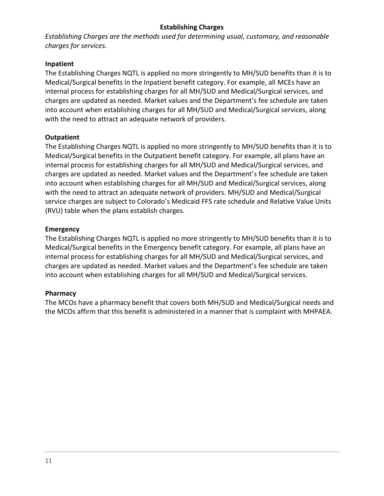#### **Establishing Charges**

*Establishing Charges are the methods used for determining usual, customary, and reasonable charges for services.*

#### **Inpatient**

The Establishing Charges NQTL is applied no more stringently to MH/SUD benefits than it is to Medical/Surgical benefits in the Inpatient benefit category. For example, all MCEs have an internal process for establishing charges for all MH/SUD and Medical/Surgical services, and charges are updated as needed. Market values and the Department's fee schedule are taken into account when establishing charges for all MH/SUD and Medical/Surgical services, along with the need to attract an adequate network of providers.

#### **Outpatient**

The Establishing Charges NQTL is applied no more stringently to MH/SUD benefits than it is to Medical/Surgical benefits in the Outpatient benefit category. For example, all plans have an internal process for establishing charges for all MH/SUD and Medical/Surgical services, and charges are updated as needed. Market values and the Department's fee schedule are taken into account when establishing charges for all MH/SUD and Medical/Surgical services, along with the need to attract an adequate network of providers. MH/SUD and Medical/Surgical service charges are subject to Colorado's Medicaid FFS rate schedule and Relative Value Units (RVU) table when the plans establish charges.

#### **Emergency**

The Establishing Charges NQTL is applied no more stringently to MH/SUD benefits than it is to Medical/Surgical benefits in the Emergency benefit category. For example, all plans have an internal process for establishing charges for all MH/SUD and Medical/Surgical services, and charges are updated as needed. Market values and the Department's fee schedule are taken into account when establishing charges for all MH/SUD and Medical/Surgical services.

# **Pharmacy**

The MCOs have a pharmacy benefit that covers both MH/SUD and Medical/Surgical needs and the MCOs affirm that this benefit is administered in a manner that is complaint with MHPAEA.